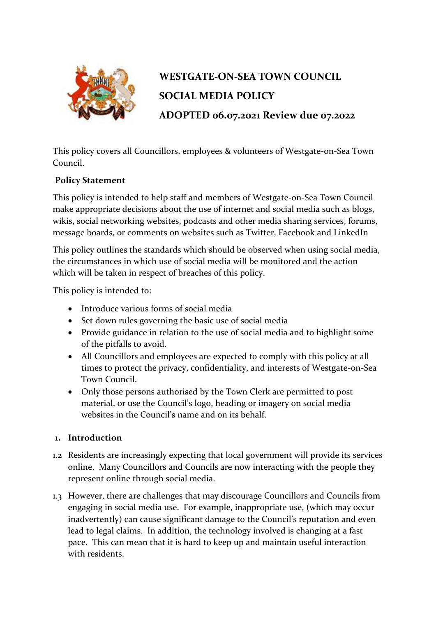

# **WESTGATE-ON-SEA TOWN COUNCIL SOCIAL MEDIA POLICY ADOPTED 06.07.2021 Review due 07.2022**

This policy covers all Councillors, employees & volunteers of Westgate-on-Sea Town Council.

## **Policy Statement**

This policy is intended to help staff and members of Westgate-on-Sea Town Council make appropriate decisions about the use of internet and social media such as blogs, wikis, social networking websites, podcasts and other media sharing services, forums, message boards, or comments on websites such as Twitter, Facebook and LinkedIn

This policy outlines the standards which should be observed when using social media, the circumstances in which use of social media will be monitored and the action which will be taken in respect of breaches of this policy.

This policy is intended to:

- Introduce various forms of social media
- Set down rules governing the basic use of social media
- Provide guidance in relation to the use of social media and to highlight some of the pitfalls to avoid.
- All Councillors and employees are expected to comply with this policy at all times to protect the privacy, confidentiality, and interests of Westgate-on-Sea Town Council.
- Only those persons authorised by the Town Clerk are permitted to post material, or use the Council's logo, heading or imagery on social media websites in the Council's name and on its behalf.

#### **1. Introduction**

- 1.2 Residents are increasingly expecting that local government will provide its services online. Many Councillors and Councils are now interacting with the people they represent online through social media.
- 1.3 However, there are challenges that may discourage Councillors and Councils from engaging in social media use. For example, inappropriate use, (which may occur inadvertently) can cause significant damage to the Council's reputation and even lead to legal claims. In addition, the technology involved is changing at a fast pace. This can mean that it is hard to keep up and maintain useful interaction with residents.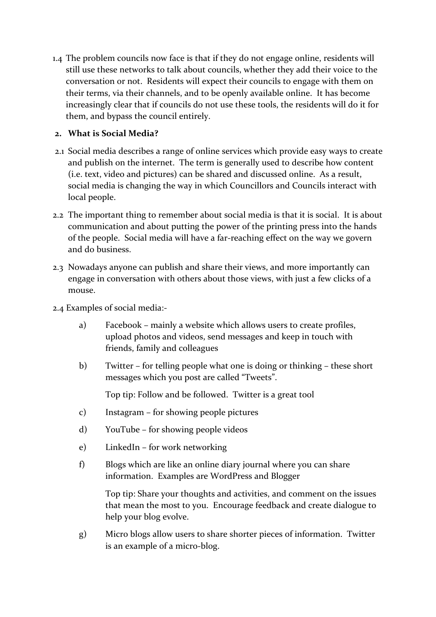1.4 The problem councils now face is that if they do not engage online, residents will still use these networks to talk about councils, whether they add their voice to the conversation or not. Residents will expect their councils to engage with them on their terms, via their channels, and to be openly available online. It has become increasingly clear that if councils do not use these tools, the residents will do it for them, and bypass the council entirely.

#### **2. What is Social Media?**

- 2.1 Social media describes a range of online services which provide easy ways to create and publish on the internet. The term is generally used to describe how content (i.e. text, video and pictures) can be shared and discussed online. As a result, social media is changing the way in which Councillors and Councils interact with local people.
- 2.2 The important thing to remember about social media is that it is social. It is about communication and about putting the power of the printing press into the hands of the people. Social media will have a far-reaching effect on the way we govern and do business.
- 2.3 Nowadays anyone can publish and share their views, and more importantly can engage in conversation with others about those views, with just a few clicks of a mouse.
- 2.4 Examples of social media:
	- a) Facebook mainly a website which allows users to create profiles, upload photos and videos, send messages and keep in touch with friends, family and colleagues
	- b) Twitter for telling people what one is doing or thinking these short messages which you post are called "Tweets".

Top tip: Follow and be followed. Twitter is a great tool

- c) Instagram for showing people pictures
- d) YouTube for showing people videos
- e) LinkedIn for work networking
- f) Blogs which are like an online diary journal where you can share information. Examples are WordPress and Blogger

Top tip: Share your thoughts and activities, and comment on the issues that mean the most to you. Encourage feedback and create dialogue to help your blog evolve.

g) Micro blogs allow users to share shorter pieces of information. Twitter is an example of a micro-blog.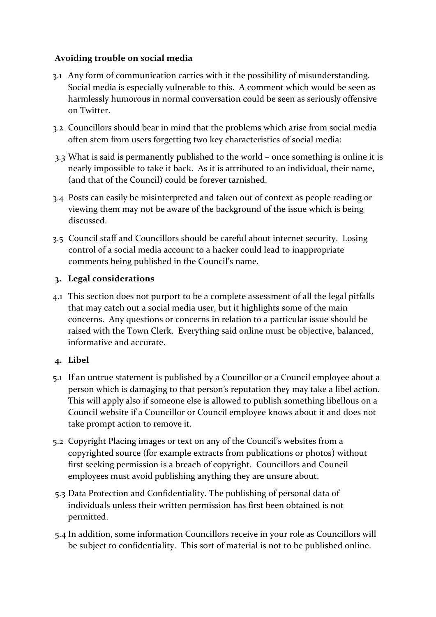#### **Avoiding trouble on social media**

- 3.1 Any form of communication carries with it the possibility of misunderstanding. Social media is especially vulnerable to this. A comment which would be seen as harmlessly humorous in normal conversation could be seen as seriously offensive on Twitter.
- 3.2 Councillors should bear in mind that the problems which arise from social media often stem from users forgetting two key characteristics of social media:
- 3.3 What is said is permanently published to the world once something is online it is nearly impossible to take it back. As it is attributed to an individual, their name, (and that of the Council) could be forever tarnished.
- 3.4 Posts can easily be misinterpreted and taken out of context as people reading or viewing them may not be aware of the background of the issue which is being discussed.
- 3.5 Council staff and Councillors should be careful about internet security. Losing control of a social media account to a hacker could lead to inappropriate comments being published in the Council's name.

#### **3. Legal considerations**

4.1 This section does not purport to be a complete assessment of all the legal pitfalls that may catch out a social media user, but it highlights some of the main concerns. Any questions or concerns in relation to a particular issue should be raised with the Town Clerk. Everything said online must be objective, balanced, informative and accurate.

#### **4. Libel**

- 5.1 If an untrue statement is published by a Councillor or a Council employee about a person which is damaging to that person's reputation they may take a libel action. This will apply also if someone else is allowed to publish something libellous on a Council website if a Councillor or Council employee knows about it and does not take prompt action to remove it.
- 5.2 Copyright Placing images or text on any of the Council's websites from a copyrighted source (for example extracts from publications or photos) without first seeking permission is a breach of copyright. Councillors and Council employees must avoid publishing anything they are unsure about.
- 5.3 Data Protection and Confidentiality. The publishing of personal data of individuals unless their written permission has first been obtained is not permitted.
- 5.4 In addition, some information Councillors receive in your role as Councillors will be subject to confidentiality. This sort of material is not to be published online.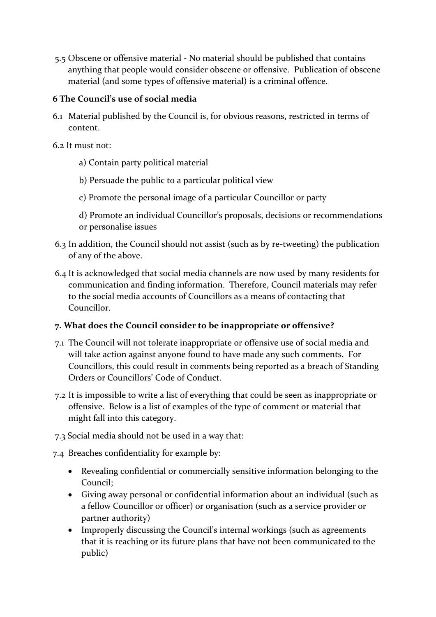5.5 Obscene or offensive material - No material should be published that contains anything that people would consider obscene or offensive. Publication of obscene material (and some types of offensive material) is a criminal offence.

#### **6 The Council's use of social media**

- 6.1 Material published by the Council is, for obvious reasons, restricted in terms of content.
- 6.2 It must not:
	- a) Contain party political material
	- b) Persuade the public to a particular political view
	- c) Promote the personal image of a particular Councillor or party
	- d) Promote an individual Councillor's proposals, decisions or recommendations or personalise issues
- 6.3 In addition, the Council should not assist (such as by re-tweeting) the publication of any of the above.
- 6.4 It is acknowledged that social media channels are now used by many residents for communication and finding information. Therefore, Council materials may refer to the social media accounts of Councillors as a means of contacting that Councillor.

## **7. What does the Council consider to be inappropriate or offensive?**

- 7.1 The Council will not tolerate inappropriate or offensive use of social media and will take action against anyone found to have made any such comments. For Councillors, this could result in comments being reported as a breach of Standing Orders or Councillors' Code of Conduct.
- 7.2 It is impossible to write a list of everything that could be seen as inappropriate or offensive. Below is a list of examples of the type of comment or material that might fall into this category.
- 7.3 Social media should not be used in a way that:
- 7.4 Breaches confidentiality for example by:
	- Revealing confidential or commercially sensitive information belonging to the Council;
	- Giving away personal or confidential information about an individual (such as a fellow Councillor or officer) or organisation (such as a service provider or partner authority)
	- Improperly discussing the Council's internal workings (such as agreements that it is reaching or its future plans that have not been communicated to the public)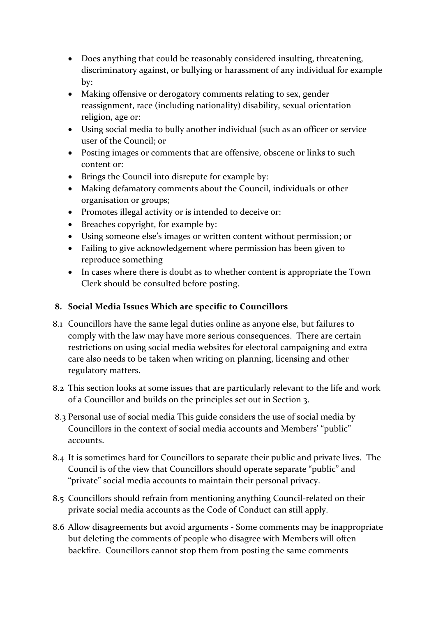- Does anything that could be reasonably considered insulting, threatening, discriminatory against, or bullying or harassment of any individual for example by:
- Making offensive or derogatory comments relating to sex, gender reassignment, race (including nationality) disability, sexual orientation religion, age or:
- Using social media to bully another individual (such as an officer or service user of the Council; or
- Posting images or comments that are offensive, obscene or links to such content or:
- Brings the Council into disrepute for example by:
- Making defamatory comments about the Council, individuals or other organisation or groups;
- Promotes illegal activity or is intended to deceive or:
- Breaches copyright, for example by:
- Using someone else's images or written content without permission; or
- Failing to give acknowledgement where permission has been given to reproduce something
- In cases where there is doubt as to whether content is appropriate the Town Clerk should be consulted before posting.

### **8. Social Media Issues Which are specific to Councillors**

- 8.1 Councillors have the same legal duties online as anyone else, but failures to comply with the law may have more serious consequences. There are certain restrictions on using social media websites for electoral campaigning and extra care also needs to be taken when writing on planning, licensing and other regulatory matters.
- 8.2 This section looks at some issues that are particularly relevant to the life and work of a Councillor and builds on the principles set out in Section 3.
- 8.3 Personal use of social media This guide considers the use of social media by Councillors in the context of social media accounts and Members' "public" accounts.
- 8.4 It is sometimes hard for Councillors to separate their public and private lives. The Council is of the view that Councillors should operate separate "public" and "private" social media accounts to maintain their personal privacy.
- 8.5 Councillors should refrain from mentioning anything Council-related on their private social media accounts as the Code of Conduct can still apply.
- 8.6 Allow disagreements but avoid arguments Some comments may be inappropriate but deleting the comments of people who disagree with Members will often backfire. Councillors cannot stop them from posting the same comments